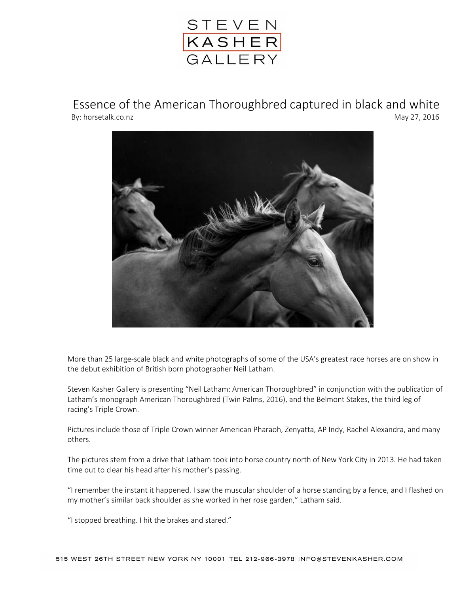

Essence of the American Thoroughbred captured in black and white By: horsetalk.co.nz May 27, 2016



More than 25 large-scale black and white photographs of some of the USA's greatest race horses are on show in the debut exhibition of British born photographer Neil Latham.

Steven Kasher Gallery is presenting "Neil Latham: American Thoroughbred" in conjunction with the publication of Latham's monograph American Thoroughbred (Twin Palms, 2016), and the Belmont Stakes, the third leg of racing's Triple Crown.

Pictures include those of Triple Crown winner American Pharaoh, Zenyatta, AP Indy, Rachel Alexandra, and many others.

The pictures stem from a drive that Latham took into horse country north of New York City in 2013. He had taken time out to clear his head after his mother's passing.

"I remember the instant it happened. I saw the muscular shoulder of a horse standing by a fence, and I flashed on my mother's similar back shoulder as she worked in her rose garden," Latham said.

"I stopped breathing. I hit the brakes and stared."